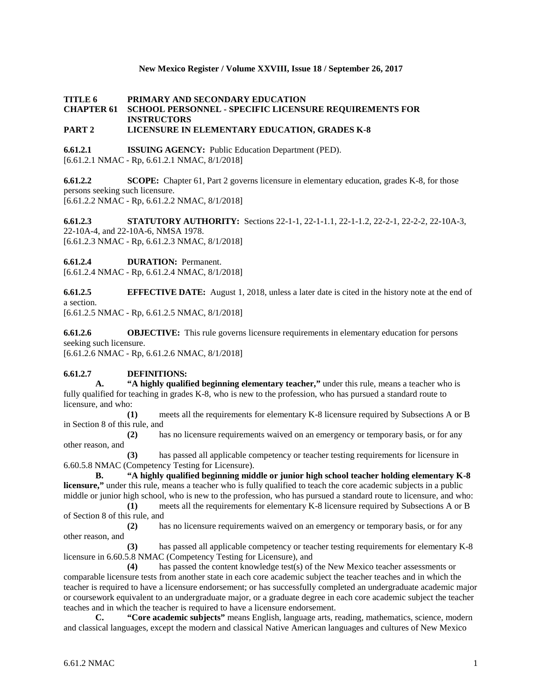### **New Mexico Register / Volume XXVIII, Issue 18 / September 26, 2017**

# **TITLE 6 PRIMARY AND SECONDARY EDUCATION CHAPTER 61 SCHOOL PERSONNEL - SPECIFIC LICENSURE REQUIREMENTS FOR INSTRUCTORS**

# **PART 2 LICENSURE IN ELEMENTARY EDUCATION, GRADES K-8**

**6.61.2.1 ISSUING AGENCY:** Public Education Department (PED). [6.61.2.1 NMAC - Rp, 6.61.2.1 NMAC, 8/1/2018]

**6.61.2.2 SCOPE:** Chapter 61, Part 2 governs licensure in elementary education, grades K-8, for those persons seeking such licensure. [6.61.2.2 NMAC - Rp, 6.61.2.2 NMAC, 8/1/2018]

**6.61.2.3 STATUTORY AUTHORITY:** Sections 22-1-1, 22-1-1.1, 22-1-1.2, 22-2-1, 22-2-2, 22-10A-3, 22-10A-4, and 22-10A-6, NMSA 1978. [6.61.2.3 NMAC - Rp, 6.61.2.3 NMAC, 8/1/2018]

**6.61.2.4 DURATION:** Permanent.

[6.61.2.4 NMAC - Rp, 6.61.2.4 NMAC, 8/1/2018]

**6.61.2.5 EFFECTIVE DATE:** August 1, 2018, unless a later date is cited in the history note at the end of a section.

[6.61.2.5 NMAC - Rp, 6.61.2.5 NMAC, 8/1/2018]

**6.61.2.6 OBJECTIVE:** This rule governs licensure requirements in elementary education for persons seeking such licensure.

[6.61.2.6 NMAC - Rp, 6.61.2.6 NMAC, 8/1/2018]

## **6.61.2.7 DEFINITIONS:**

**A. "A highly qualified beginning elementary teacher,"** under this rule, means a teacher who is fully qualified for teaching in grades K-8, who is new to the profession, who has pursued a standard route to licensure, and who:

**(1)** meets all the requirements for elementary K-8 licensure required by Subsections A or B in Section 8 of this rule, and

**(2)** has no licensure requirements waived on an emergency or temporary basis, or for any other reason, and

**(3)** has passed all applicable competency or teacher testing requirements for licensure in 6.60.5.8 NMAC (Competency Testing for Licensure).

**B. "A highly qualified beginning middle or junior high school teacher holding elementary K-8 licensure,"** under this rule, means a teacher who is fully qualified to teach the core academic subjects in a public middle or junior high school, who is new to the profession, who has pursued a standard route to licensure, and who:

**(1)** meets all the requirements for elementary K-8 licensure required by Subsections A or B of Section 8 of this rule, and

**(2)** has no licensure requirements waived on an emergency or temporary basis, or for any other reason, and

**(3)** has passed all applicable competency or teacher testing requirements for elementary K-8 licensure in 6.60.5.8 NMAC (Competency Testing for Licensure), and

**(4)** has passed the content knowledge test(s) of the New Mexico teacher assessments or comparable licensure tests from another state in each core academic subject the teacher teaches and in which the teacher is required to have a licensure endorsement; or has successfully completed an undergraduate academic major or coursework equivalent to an undergraduate major, or a graduate degree in each core academic subject the teacher teaches and in which the teacher is required to have a licensure endorsement.

**C. "Core academic subjects"** means English, language arts, reading, mathematics, science, modern and classical languages, except the modern and classical Native American languages and cultures of New Mexico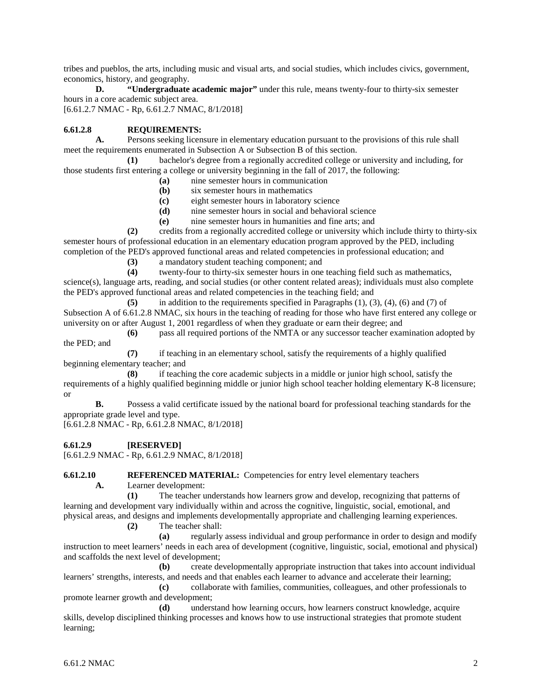tribes and pueblos, the arts, including music and visual arts, and social studies, which includes civics, government, economics, history, and geography.

**D. "Undergraduate academic major"** under this rule, means twenty-four to thirty-six semester hours in a core academic subject area.

[6.61.2.7 NMAC - Rp, 6.61.2.7 NMAC, 8/1/2018]

# **6.61.2.8 REQUIREMENTS:**

**A.** Persons seeking licensure in elementary education pursuant to the provisions of this rule shall meet the requirements enumerated in Subsection A or Subsection B of this section.

**(1)** bachelor's degree from a regionally accredited college or university and including, for those students first entering a college or university beginning in the fall of 2017, the following:

- **(a)** nine semester hours in communication
- **(b)** six semester hours in mathematics
- **(c)** eight semester hours in laboratory science
- **(d)** nine semester hours in social and behavioral science
- **(e)** nine semester hours in humanities and fine arts; and

**(2)** credits from a regionally accredited college or university which include thirty to thirty-six semester hours of professional education in an elementary education program approved by the PED, including completion of the PED's approved functional areas and related competencies in professional education; and

**(3)** a mandatory student teaching component; and twenty-four to thirty-six semester hours in one

**(4)** twenty-four to thirty-six semester hours in one teaching field such as mathematics,

science(s), language arts, reading, and social studies (or other content related areas); individuals must also complete the PED's approved functional areas and related competencies in the teaching field; and

**(5)** in addition to the requirements specified in Paragraphs (1), (3), (4), (6) and (7) of Subsection A of 6.61.2.8 NMAC, six hours in the teaching of reading for those who have first entered any college or university on or after August 1, 2001 regardless of when they graduate or earn their degree; and

**(6)** pass all required portions of the NMTA or any successor teacher examination adopted by the PED; and

**(7)** if teaching in an elementary school, satisfy the requirements of a highly qualified beginning elementary teacher; and

**(8)** if teaching the core academic subjects in a middle or junior high school, satisfy the requirements of a highly qualified beginning middle or junior high school teacher holding elementary K-8 licensure; or

**B.** Possess a valid certificate issued by the national board for professional teaching standards for the appropriate grade level and type.

[6.61.2.8 NMAC - Rp, 6.61.2.8 NMAC, 8/1/2018]

## **6.61.2.9 [RESERVED]**

[6.61.2.9 NMAC - Rp, 6.61.2.9 NMAC, 8/1/2018]

**6.61.2.10 REFERENCED MATERIAL:** Competencies for entry level elementary teachers

**A.** Learner development:

**(1)** The teacher understands how learners grow and develop, recognizing that patterns of learning and development vary individually within and across the cognitive, linguistic, social, emotional, and physical areas, and designs and implements developmentally appropriate and challenging learning experiences.

**(2)** The teacher shall:

**(a)** regularly assess individual and group performance in order to design and modify instruction to meet learners' needs in each area of development (cognitive, linguistic, social, emotional and physical) and scaffolds the next level of development;

**(b)** create developmentally appropriate instruction that takes into account individual learners' strengths, interests, and needs and that enables each learner to advance and accelerate their learning;

**(c)** collaborate with families, communities, colleagues, and other professionals to promote learner growth and development;

**(d)** understand how learning occurs, how learners construct knowledge, acquire skills, develop disciplined thinking processes and knows how to use instructional strategies that promote student learning;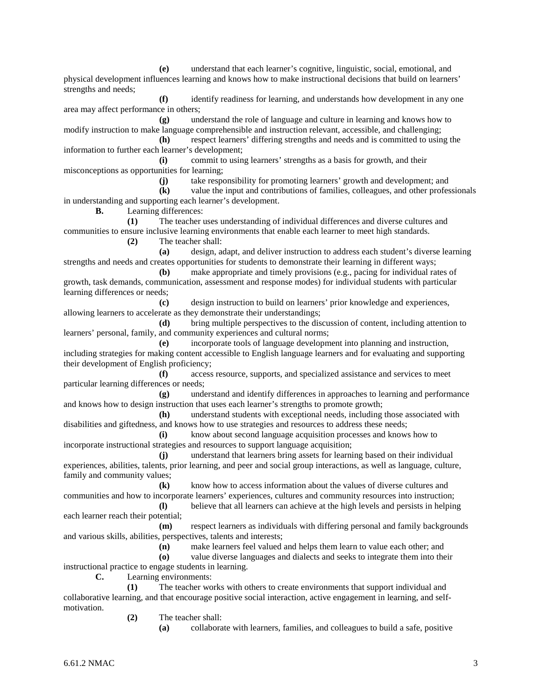**(e)** understand that each learner's cognitive, linguistic, social, emotional, and physical development influences learning and knows how to make instructional decisions that build on learners' strengths and needs;

**(f)** identify readiness for learning, and understands how development in any one area may affect performance in others;

**(g)** understand the role of language and culture in learning and knows how to modify instruction to make language comprehensible and instruction relevant, accessible, and challenging;

**(h)** respect learners' differing strengths and needs and is committed to using the information to further each learner's development;

**(i)** commit to using learners' strengths as a basis for growth, and their misconceptions as opportunities for learning;

**(j)** take responsibility for promoting learners' growth and development; and

**(k)** value the input and contributions of families, colleagues, and other professionals in understanding and supporting each learner's development.

**B.** Learning differences:

**(1)** The teacher uses understanding of individual differences and diverse cultures and communities to ensure inclusive learning environments that enable each learner to meet high standards. **(2)** The teacher shall:

**(a)** design, adapt, and deliver instruction to address each student's diverse learning strengths and needs and creates opportunities for students to demonstrate their learning in different ways;

**(b)** make appropriate and timely provisions (e.g., pacing for individual rates of growth, task demands, communication, assessment and response modes) for individual students with particular learning differences or needs;

**(c)** design instruction to build on learners' prior knowledge and experiences, allowing learners to accelerate as they demonstrate their understandings;

**(d)** bring multiple perspectives to the discussion of content, including attention to learners' personal, family, and community experiences and cultural norms;

**(e)** incorporate tools of language development into planning and instruction, including strategies for making content accessible to English language learners and for evaluating and supporting their development of English proficiency;

**(f)** access resource, supports, and specialized assistance and services to meet particular learning differences or needs;

**(g)** understand and identify differences in approaches to learning and performance and knows how to design instruction that uses each learner's strengths to promote growth;

**(h)** understand students with exceptional needs, including those associated with disabilities and giftedness, and knows how to use strategies and resources to address these needs;

**(i)** know about second language acquisition processes and knows how to incorporate instructional strategies and resources to support language acquisition;

**(j)** understand that learners bring assets for learning based on their individual experiences, abilities, talents, prior learning, and peer and social group interactions, as well as language, culture, family and community values;

**(k)** know how to access information about the values of diverse cultures and communities and how to incorporate learners' experiences, cultures and community resources into instruction; **(l)** believe that all learners can achieve at the high levels and persists in helping

each learner reach their potential;

**(m)** respect learners as individuals with differing personal and family backgrounds and various skills, abilities, perspectives, talents and interests;

**(n)** make learners feel valued and helps them learn to value each other; and

**(o)** value diverse languages and dialects and seeks to integrate them into their

instructional practice to engage students in learning. **C.** Learning environments:

**(1)** The teacher works with others to create environments that support individual and collaborative learning, and that encourage positive social interaction, active engagement in learning, and selfmotivation.

**(2)** The teacher shall:

**(a)** collaborate with learners, families, and colleagues to build a safe, positive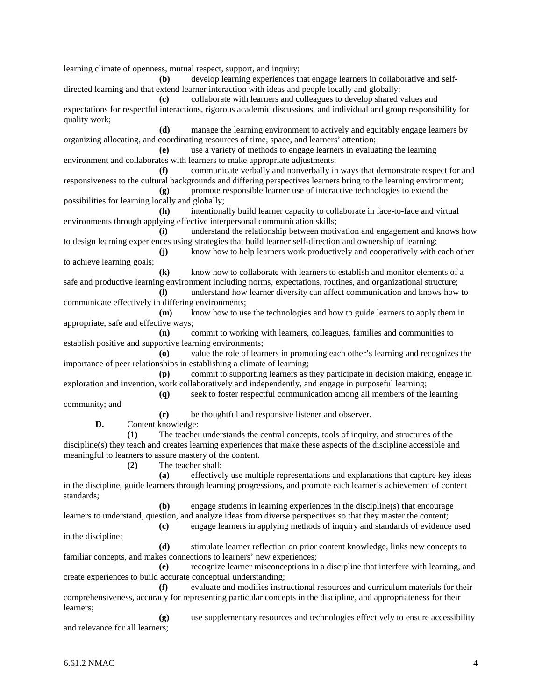learning climate of openness, mutual respect, support, and inquiry;

**(b)** develop learning experiences that engage learners in collaborative and selfdirected learning and that extend learner interaction with ideas and people locally and globally;

**(c)** collaborate with learners and colleagues to develop shared values and expectations for respectful interactions, rigorous academic discussions, and individual and group responsibility for quality work;

**(d)** manage the learning environment to actively and equitably engage learners by organizing allocating, and coordinating resources of time, space, and learners' attention;

**(e)** use a variety of methods to engage learners in evaluating the learning environment and collaborates with learners to make appropriate adjustments;

**(f)** communicate verbally and nonverbally in ways that demonstrate respect for and responsiveness to the cultural backgrounds and differing perspectives learners bring to the learning environment;

**(g)** promote responsible learner use of interactive technologies to extend the possibilities for learning locally and globally;

**(h)** intentionally build learner capacity to collaborate in face-to-face and virtual environments through applying effective interpersonal communication skills;

**(i)** understand the relationship between motivation and engagement and knows how to design learning experiences using strategies that build learner self-direction and ownership of learning;

**(j)** know how to help learners work productively and cooperatively with each other to achieve learning goals;

**(k)** know how to collaborate with learners to establish and monitor elements of a safe and productive learning environment including norms, expectations, routines, and organizational structure;

**(l)** understand how learner diversity can affect communication and knows how to communicate effectively in differing environments;

**(m)** know how to use the technologies and how to guide learners to apply them in appropriate, safe and effective ways;

**(n)** commit to working with learners, colleagues, families and communities to establish positive and supportive learning environments;

**(o)** value the role of learners in promoting each other's learning and recognizes the importance of peer relationships in establishing a climate of learning;

**(p)** commit to supporting learners as they participate in decision making, engage in exploration and invention, work collaboratively and independently, and engage in purposeful learning;

**(q)** seek to foster respectful communication among all members of the learning community; and

**(r)** be thoughtful and responsive listener and observer.

**D.** Content knowledge:

**(1)** The teacher understands the central concepts, tools of inquiry, and structures of the discipline(s) they teach and creates learning experiences that make these aspects of the discipline accessible and meaningful to learners to assure mastery of the content.

**(2)** The teacher shall:

**(a)** effectively use multiple representations and explanations that capture key ideas in the discipline, guide learners through learning progressions, and promote each learner's achievement of content standards;

**(b)** engage students in learning experiences in the discipline(s) that encourage learners to understand, question, and analyze ideas from diverse perspectives so that they master the content;

**(c)** engage learners in applying methods of inquiry and standards of evidence used in the discipline;

**(d)** stimulate learner reflection on prior content knowledge, links new concepts to familiar concepts, and makes connections to learners' new experiences;

**(e)** recognize learner misconceptions in a discipline that interfere with learning, and create experiences to build accurate conceptual understanding;

**(f)** evaluate and modifies instructional resources and curriculum materials for their comprehensiveness, accuracy for representing particular concepts in the discipline, and appropriateness for their learners;

**(g)** use supplementary resources and technologies effectively to ensure accessibility and relevance for all learners;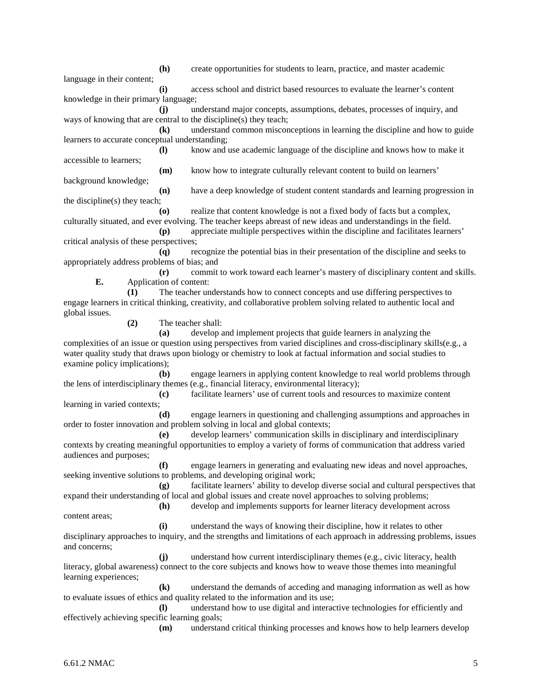language in their content; **(i)** access school and district based resources to evaluate the learner's content knowledge in their primary language; **(j)** understand major concepts, assumptions, debates, processes of inquiry, and ways of knowing that are central to the discipline(s) they teach; **(k)** understand common misconceptions in learning the discipline and how to guide learners to accurate conceptual understanding; **(l)** know and use academic language of the discipline and knows how to make it accessible to learners; **(m)** know how to integrate culturally relevant content to build on learners' background knowledge;

**(h)** create opportunities for students to learn, practice, and master academic

**(n)** have a deep knowledge of student content standards and learning progression in the discipline(s) they teach;

**(o)** realize that content knowledge is not a fixed body of facts but a complex, culturally situated, and ever evolving. The teacher keeps abreast of new ideas and understandings in the field. **(p)** appreciate multiple perspectives within the discipline and facilitates learners'

critical analysis of these perspectives;

**(q)** recognize the potential bias in their presentation of the discipline and seeks to appropriately address problems of bias; and

**(r)** commit to work toward each learner's mastery of disciplinary content and skills. **E.** Application of content:

**(1)** The teacher understands how to connect concepts and use differing perspectives to engage learners in critical thinking, creativity, and collaborative problem solving related to authentic local and global issues.

**(2)** The teacher shall:

**(a)** develop and implement projects that guide learners in analyzing the complexities of an issue or question using perspectives from varied disciplines and cross-disciplinary skills(e.g., a water quality study that draws upon biology or chemistry to look at factual information and social studies to examine policy implications);

**(b)** engage learners in applying content knowledge to real world problems through the lens of interdisciplinary themes (e.g., financial literacy, environmental literacy);

**(c)** facilitate learners' use of current tools and resources to maximize content learning in varied contexts;

**(d)** engage learners in questioning and challenging assumptions and approaches in order to foster innovation and problem solving in local and global contexts;

**(e)** develop learners' communication skills in disciplinary and interdisciplinary contexts by creating meaningful opportunities to employ a variety of forms of communication that address varied audiences and purposes;

**(f)** engage learners in generating and evaluating new ideas and novel approaches, seeking inventive solutions to problems, and developing original work;

**(g)** facilitate learners' ability to develop diverse social and cultural perspectives that expand their understanding of local and global issues and create novel approaches to solving problems;

**(h)** develop and implements supports for learner literacy development across content areas;

**(i)** understand the ways of knowing their discipline, how it relates to other disciplinary approaches to inquiry, and the strengths and limitations of each approach in addressing problems, issues and concerns;

**(j)** understand how current interdisciplinary themes (e.g., civic literacy, health literacy, global awareness) connect to the core subjects and knows how to weave those themes into meaningful learning experiences;

**(k)** understand the demands of acceding and managing information as well as how to evaluate issues of ethics and quality related to the information and its use;

**(l)** understand how to use digital and interactive technologies for efficiently and effectively achieving specific learning goals;

**(m)** understand critical thinking processes and knows how to help learners develop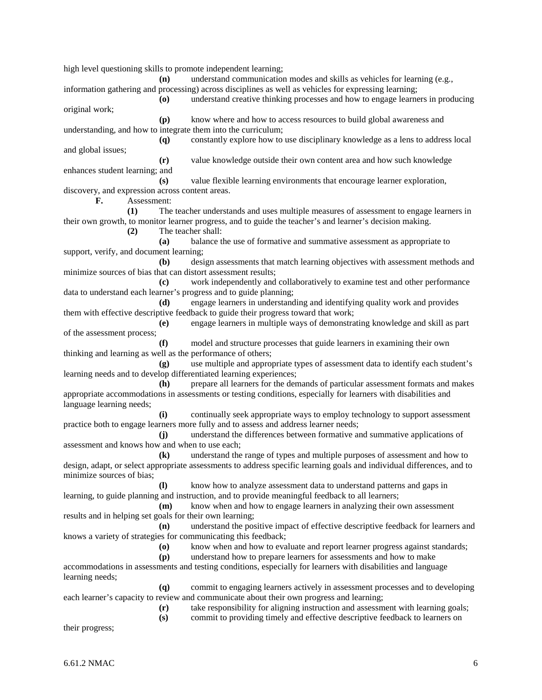information gathering and processing) across disciplines as well as vehicles for expressing learning; **(o)** understand creative thinking processes and how to engage learners in producing original work; **(p)** know where and how to access resources to build global awareness and understanding, and how to integrate them into the curriculum; **(q)** constantly explore how to use disciplinary knowledge as a lens to address local and global issues; **(r)** value knowledge outside their own content area and how such knowledge enhances student learning; and **(s)** value flexible learning environments that encourage learner exploration, discovery, and expression across content areas. **F.** Assessment: **(1)** The teacher understands and uses multiple measures of assessment to engage learners in their own growth, to monitor learner progress, and to guide the teacher's and learner's decision making. **(2)** The teacher shall: **(a)** balance the use of formative and summative assessment as appropriate to support, verify, and document learning; **(b)** design assessments that match learning objectives with assessment methods and minimize sources of bias that can distort assessment results; **(c)** work independently and collaboratively to examine test and other performance data to understand each learner's progress and to guide planning; **(d)** engage learners in understanding and identifying quality work and provides them with effective descriptive feedback to guide their progress toward that work; **(e)** engage learners in multiple ways of demonstrating knowledge and skill as part of the assessment process; **(f)** model and structure processes that guide learners in examining their own thinking and learning as well as the performance of others; **(g)** use multiple and appropriate types of assessment data to identify each student's learning needs and to develop differentiated learning experiences; **(h)** prepare all learners for the demands of particular assessment formats and makes appropriate accommodations in assessments or testing conditions, especially for learners with disabilities and language learning needs; **(i)** continually seek appropriate ways to employ technology to support assessment practice both to engage learners more fully and to assess and address learner needs; **(j)** understand the differences between formative and summative applications of assessment and knows how and when to use each; **(k)** understand the range of types and multiple purposes of assessment and how to design, adapt, or select appropriate assessments to address specific learning goals and individual differences, and to minimize sources of bias; **(l)** know how to analyze assessment data to understand patterns and gaps in learning, to guide planning and instruction, and to provide meaningful feedback to all learners; **(m)** know when and how to engage learners in analyzing their own assessment results and in helping set goals for their own learning; **(n)** understand the positive impact of effective descriptive feedback for learners and knows a variety of strategies for communicating this feedback; **(o)** know when and how to evaluate and report learner progress against standards; **(p)** understand how to prepare learners for assessments and how to make accommodations in assessments and testing conditions, especially for learners with disabilities and language learning needs; **(q)** commit to engaging learners actively in assessment processes and to developing each learner's capacity to review and communicate about their own progress and learning; **(r)** take responsibility for aligning instruction and assessment with learning goals; **(s)** commit to providing timely and effective descriptive feedback to learners on their progress;

**(n)** understand communication modes and skills as vehicles for learning (e.g.,

high level questioning skills to promote independent learning;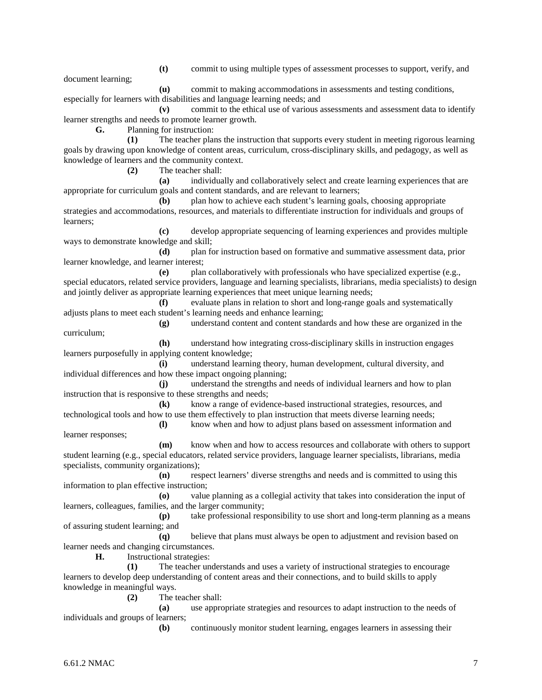**(t)** commit to using multiple types of assessment processes to support, verify, and

document learning;

**(u)** commit to making accommodations in assessments and testing conditions, especially for learners with disabilities and language learning needs; and

**(v)** commit to the ethical use of various assessments and assessment data to identify learner strengths and needs to promote learner growth.

**G.** Planning for instruction:

**(1)** The teacher plans the instruction that supports every student in meeting rigorous learning goals by drawing upon knowledge of content areas, curriculum, cross-disciplinary skills, and pedagogy, as well as knowledge of learners and the community context.

**(2)** The teacher shall:

**(a)** individually and collaboratively select and create learning experiences that are appropriate for curriculum goals and content standards, and are relevant to learners;

**(b)** plan how to achieve each student's learning goals, choosing appropriate strategies and accommodations, resources, and materials to differentiate instruction for individuals and groups of learners;

**(c)** develop appropriate sequencing of learning experiences and provides multiple ways to demonstrate knowledge and skill;

**(d)** plan for instruction based on formative and summative assessment data, prior learner knowledge, and learner interest;

**(e)** plan collaboratively with professionals who have specialized expertise (e.g., special educators, related service providers, language and learning specialists, librarians, media specialists) to design and jointly deliver as appropriate learning experiences that meet unique learning needs;

**(f)** evaluate plans in relation to short and long-range goals and systematically adjusts plans to meet each student's learning needs and enhance learning;

**(g)** understand content and content standards and how these are organized in the curriculum;

**(h)** understand how integrating cross-disciplinary skills in instruction engages learners purposefully in applying content knowledge;

**(i)** understand learning theory, human development, cultural diversity, and individual differences and how these impact ongoing planning;

**(j)** understand the strengths and needs of individual learners and how to plan instruction that is responsive to these strengths and needs;

**(k)** know a range of evidence-based instructional strategies, resources, and technological tools and how to use them effectively to plan instruction that meets diverse learning needs;

**(l)** know when and how to adjust plans based on assessment information and learner responses;

**(m)** know when and how to access resources and collaborate with others to support student learning (e.g., special educators, related service providers, language learner specialists, librarians, media specialists, community organizations);

**(n)** respect learners' diverse strengths and needs and is committed to using this information to plan effective instruction;

**(o)** value planning as a collegial activity that takes into consideration the input of learners, colleagues, families, and the larger community;

**(p)** take professional responsibility to use short and long-term planning as a means of assuring student learning; and

**(q)** believe that plans must always be open to adjustment and revision based on learner needs and changing circumstances.

**H.** Instructional strategies:

**(1)** The teacher understands and uses a variety of instructional strategies to encourage learners to develop deep understanding of content areas and their connections, and to build skills to apply knowledge in meaningful ways.

**(2)** The teacher shall:

**(a)** use appropriate strategies and resources to adapt instruction to the needs of individuals and groups of learners;

**(b)** continuously monitor student learning, engages learners in assessing their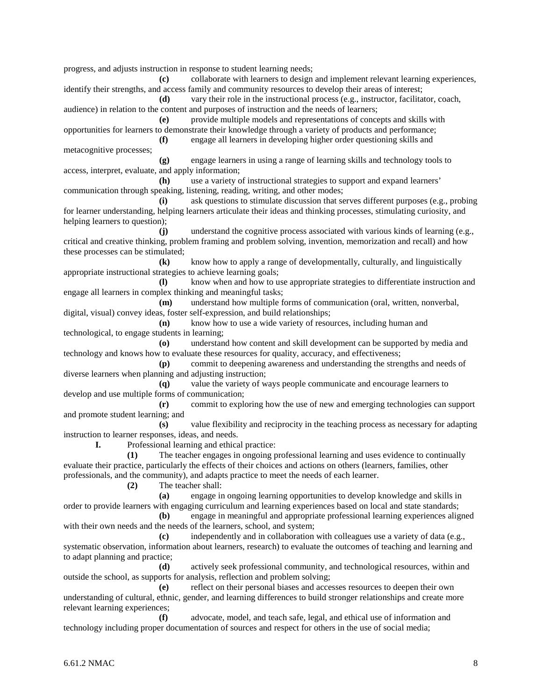progress, and adjusts instruction in response to student learning needs;

**(c)** collaborate with learners to design and implement relevant learning experiences, identify their strengths, and access family and community resources to develop their areas of interest; **(d)** vary their role in the instructional process (e.g., instructor, facilitator, coach, audience) in relation to the content and purposes of instruction and the needs of learners; **(e)** provide multiple models and representations of concepts and skills with opportunities for learners to demonstrate their knowledge through a variety of products and performance; **(f)** engage all learners in developing higher order questioning skills and metacognitive processes; **(g)** engage learners in using a range of learning skills and technology tools to access, interpret, evaluate, and apply information; **(h)** use a variety of instructional strategies to support and expand learners' communication through speaking, listening, reading, writing, and other modes; **(i)** ask questions to stimulate discussion that serves different purposes (e.g., probing for learner understanding, helping learners articulate their ideas and thinking processes, stimulating curiosity, and helping learners to question); **(j)** understand the cognitive process associated with various kinds of learning (e.g., critical and creative thinking, problem framing and problem solving, invention, memorization and recall) and how these processes can be stimulated; **(k)** know how to apply a range of developmentally, culturally, and linguistically appropriate instructional strategies to achieve learning goals; **(l)** know when and how to use appropriate strategies to differentiate instruction and engage all learners in complex thinking and meaningful tasks; **(m)** understand how multiple forms of communication (oral, written, nonverbal, digital, visual) convey ideas, foster self-expression, and build relationships; **(n)** know how to use a wide variety of resources, including human and technological, to engage students in learning; **(o)** understand how content and skill development can be supported by media and technology and knows how to evaluate these resources for quality, accuracy, and effectiveness; **(p)** commit to deepening awareness and understanding the strengths and needs of diverse learners when planning and adjusting instruction; **(q)** value the variety of ways people communicate and encourage learners to develop and use multiple forms of communication; **(r)** commit to exploring how the use of new and emerging technologies can support and promote student learning; and **(s)** value flexibility and reciprocity in the teaching process as necessary for adapting instruction to learner responses, ideas, and needs. **I.** Professional learning and ethical practice: **(1)** The teacher engages in ongoing professional learning and uses evidence to continually evaluate their practice, particularly the effects of their choices and actions on others (learners, families, other professionals, and the community), and adapts practice to meet the needs of each learner. **(2)** The teacher shall: **(a)** engage in ongoing learning opportunities to develop knowledge and skills in order to provide learners with engaging curriculum and learning experiences based on local and state standards; **(b)** engage in meaningful and appropriate professional learning experiences aligned with their own needs and the needs of the learners, school, and system; **(c)** independently and in collaboration with colleagues use a variety of data (e.g., systematic observation, information about learners, research) to evaluate the outcomes of teaching and learning and to adapt planning and practice; **(d)** actively seek professional community, and technological resources, within and outside the school, as supports for analysis, reflection and problem solving; **(e)** reflect on their personal biases and accesses resources to deepen their own understanding of cultural, ethnic, gender, and learning differences to build stronger relationships and create more relevant learning experiences;

**(f)** advocate, model, and teach safe, legal, and ethical use of information and technology including proper documentation of sources and respect for others in the use of social media;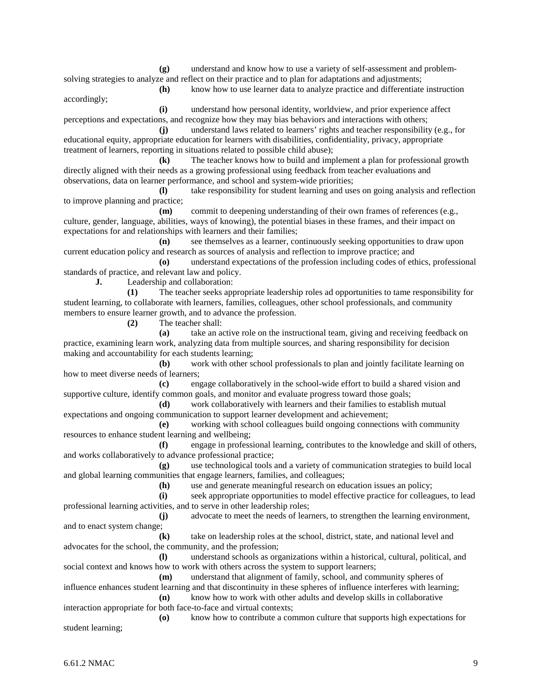**(g)** understand and know how to use a variety of self-assessment and problemsolving strategies to analyze and reflect on their practice and to plan for adaptations and adjustments;

accordingly;

**(h)** know how to use learner data to analyze practice and differentiate instruction

**(i)** understand how personal identity, worldview, and prior experience affect perceptions and expectations, and recognize how they may bias behaviors and interactions with others;

**(j)** understand laws related to learners' rights and teacher responsibility (e.g., for educational equity, appropriate education for learners with disabilities, confidentiality, privacy, appropriate treatment of learners, reporting in situations related to possible child abuse);

**(k)** The teacher knows how to build and implement a plan for professional growth directly aligned with their needs as a growing professional using feedback from teacher evaluations and observations, data on learner performance, and school and system-wide priorities;

**(l)** take responsibility for student learning and uses on going analysis and reflection to improve planning and practice;

**(m)** commit to deepening understanding of their own frames of references (e.g., culture, gender, language, abilities, ways of knowing), the potential biases in these frames, and their impact on expectations for and relationships with learners and their families;

**(n)** see themselves as a learner, continuously seeking opportunities to draw upon current education policy and research as sources of analysis and reflection to improve practice; and

**(o)** understand expectations of the profession including codes of ethics, professional standards of practice, and relevant law and policy.

**J.** Leadership and collaboration:

**(1)** The teacher seeks appropriate leadership roles ad opportunities to tame responsibility for student learning, to collaborate with learners, families, colleagues, other school professionals, and community members to ensure learner growth, and to advance the profession.

**(2)** The teacher shall:

**(a)** take an active role on the instructional team, giving and receiving feedback on practice, examining learn work, analyzing data from multiple sources, and sharing responsibility for decision making and accountability for each students learning;

**(b)** work with other school professionals to plan and jointly facilitate learning on how to meet diverse needs of learners;

**(c)** engage collaboratively in the school-wide effort to build a shared vision and supportive culture, identify common goals, and monitor and evaluate progress toward those goals;

**(d)** work collaboratively with learners and their families to establish mutual expectations and ongoing communication to support learner development and achievement;

**(e)** working with school colleagues build ongoing connections with community resources to enhance student learning and wellbeing;

**(f)** engage in professional learning, contributes to the knowledge and skill of others, and works collaboratively to advance professional practice;

**(g)** use technological tools and a variety of communication strategies to build local and global learning communities that engage learners, families, and colleagues;

**(h)** use and generate meaningful research on education issues an policy;

**(i)** seek appropriate opportunities to model effective practice for colleagues, to lead professional learning activities, and to serve in other leadership roles;

**(j)** advocate to meet the needs of learners, to strengthen the learning environment, and to enact system change;

**(k)** take on leadership roles at the school, district, state, and national level and advocates for the school, the community, and the profession;

**(l)** understand schools as organizations within a historical, cultural, political, and social context and knows how to work with others across the system to support learners;

**(m)** understand that alignment of family, school, and community spheres of influence enhances student learning and that discontinuity in these spheres of influence interferes with learning;

**(n)** know how to work with other adults and develop skills in collaborative interaction appropriate for both face-to-face and virtual contexts;

**(o)** know how to contribute a common culture that supports high expectations for student learning;